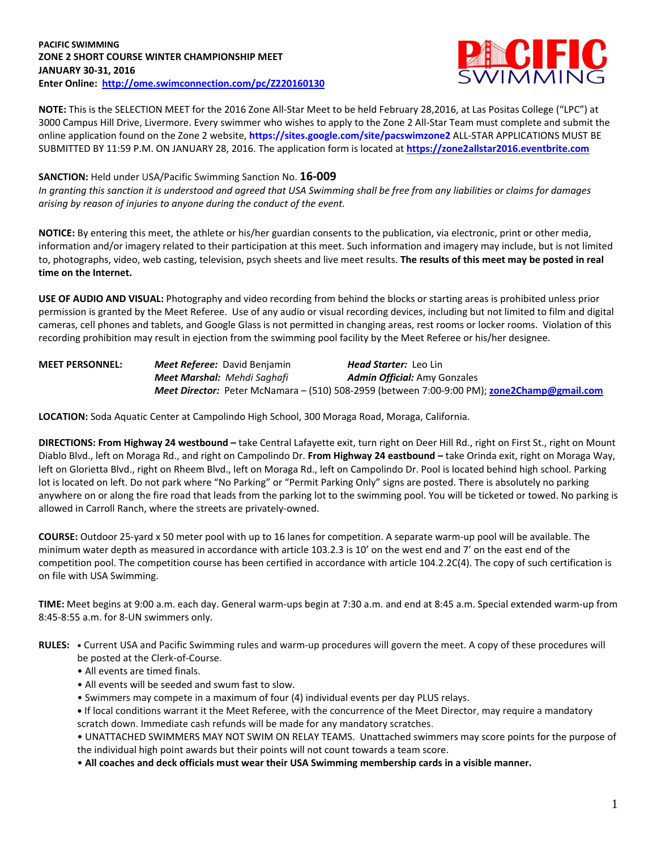## **PACIFIC SWIMMING ZONE 2 SHORT COURSE WINTER CHAMPIONSHIP MEET JANUARY 30-31, 2016 Enter Online: <http://ome.swimconnection.com/pc/Z220160130>**



**NOTE:** This is the SELECTION MEET for the 2016 Zone All-Star Meet to be held February 28,2016, at Las Positas College ("LPC") at 3000 Campus Hill Drive, Livermore. Every swimmer who wishes to apply to the Zone 2 All-Star Team must complete and submit the online application found on the Zone 2 website, **https://sites.google.com/site/pacswimzone2** ALL-STAR APPLICATIONS MUST BE SUBMITTED BY 11:59 P.M. ON JANUARY 28, 2016. The application form is located at **[https://zone2allstar2016.eventbrite.com](https://zone2allstar2016.eventbrite.com/)**

## **SANCTION:** Held under USA/Pacific Swimming Sanction No. **16-009**

*In granting this sanction it is understood and agreed that USA Swimming shall be free from any liabilities or claims for damages arising by reason of injuries to anyone during the conduct of the event.*

**NOTICE:** By entering this meet, the athlete or his/her guardian consents to the publication, via electronic, print or other media, information and/or imagery related to their participation at this meet. Such information and imagery may include, but is not limited to, photographs, video, web casting, television, psych sheets and live meet results. **The results of this meet may be posted in real time on the Internet.**

**USE OF AUDIO AND VISUAL:** Photography and video recording from behind the blocks or starting areas is prohibited unless prior permission is granted by the Meet Referee. Use of any audio or visual recording devices, including but not limited to film and digital cameras, cell phones and tablets, and Google Glass is not permitted in changing areas, rest rooms or locker rooms. Violation of this recording prohibition may result in ejection from the swimming pool facility by the Meet Referee or his/her designee.

| <b>MEET PERSONNEL:</b> | <b>Meet Referee:</b> David Benjamin | <b>Head Starter:</b> Leo Lin                                                                       |
|------------------------|-------------------------------------|----------------------------------------------------------------------------------------------------|
|                        | <b>Meet Marshal:</b> Mehdi Saghafi  | <b>Admin Official:</b> Amy Gonzales                                                                |
|                        |                                     | <b>Meet Director:</b> Peter McNamara – (510) 508-2959 (between 7:00-9:00 PM); zone2Champ@gmail.com |

**LOCATION:** Soda Aquatic Center at Campolindo High School, 300 Moraga Road, Moraga, California.

**DIRECTIONS: From Highway 24 westbound –** take Central Lafayette exit, turn right on Deer Hill Rd., right on First St., right on Mount Diablo Blvd., left on Moraga Rd., and right on Campolindo Dr. **From Highway 24 eastbound –** take Orinda exit, right on Moraga Way, left on Glorietta Blvd., right on Rheem Blvd., left on Moraga Rd., left on Campolindo Dr. Pool is located behind high school. Parking lot is located on left. Do not park where "No Parking" or "Permit Parking Only" signs are posted. There is absolutely no parking anywhere on or along the fire road that leads from the parking lot to the swimming pool. You will be ticketed or towed. No parking is allowed in Carroll Ranch, where the streets are privately-owned.

**COURSE:** Outdoor 25-yard x 50 meter pool with up to 16 lanes for competition. A separate warm-up pool will be available. The minimum water depth as measured in accordance with article 103.2.3 is 10' on the west end and 7' on the east end of the competition pool. The competition course has been certified in accordance with article 104.2.2C(4). The copy of such certification is on file with USA Swimming.

**TIME:** Meet begins at 9:00 a.m. each day. General warm-ups begin at 7:30 a.m. and end at 8:45 a.m. Special extended warm-up from 8:45-8:55 a.m. for 8-UN swimmers only.

- **RULES: •** Current USA and Pacific Swimming rules and warm-up procedures will govern the meet. A copy of these procedures will be posted at the Clerk-of-Course.
	- All events are timed finals.
	- All events will be seeded and swum fast to slow.
	- Swimmers may compete in a maximum of four (4) individual events per day PLUS relays.

**•** If local conditions warrant it the Meet Referee, with the concurrence of the Meet Director, may require a mandatory scratch down. Immediate cash refunds will be made for any mandatory scratches.

• UNATTACHED SWIMMERS MAY NOT SWIM ON RELAY TEAMS. Unattached swimmers may score points for the purpose of the individual high point awards but their points will not count towards a team score.

• **All coaches and deck officials must wear their USA Swimming membership cards in a visible manner.**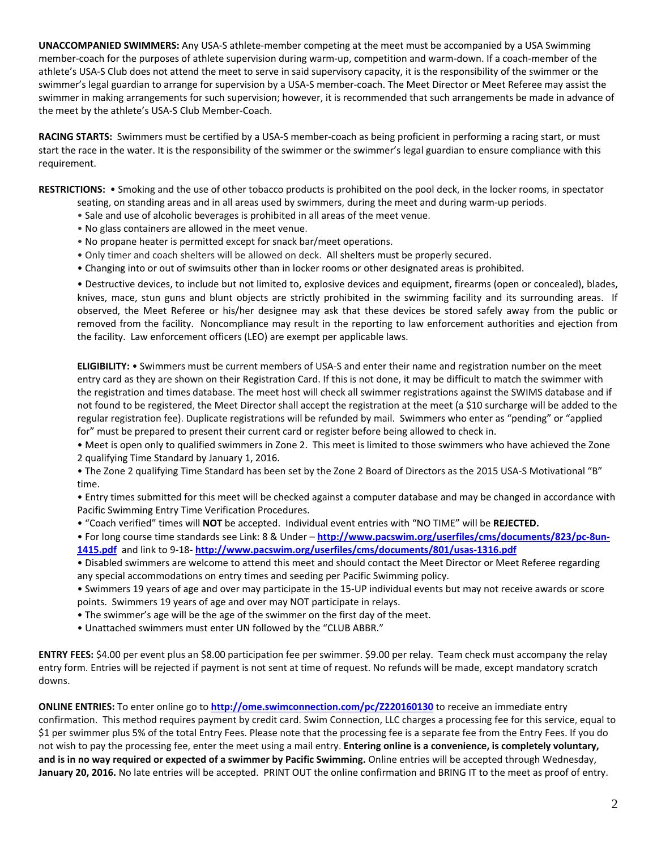**UNACCOMPANIED SWIMMERS:** Any USA-S athlete-member competing at the meet must be accompanied by a USA Swimming member-coach for the purposes of athlete supervision during warm-up, competition and warm-down. If a coach-member of the athlete's USA-S Club does not attend the meet to serve in said supervisory capacity, it is the responsibility of the swimmer or the swimmer's legal guardian to arrange for supervision by a USA-S member-coach. The Meet Director or Meet Referee may assist the swimmer in making arrangements for such supervision; however, it is recommended that such arrangements be made in advance of the meet by the athlete's USA-S Club Member-Coach.

**RACING STARTS:** Swimmers must be certified by a USA-S member-coach as being proficient in performing a racing start, or must start the race in the water. It is the responsibility of the swimmer or the swimmer's legal guardian to ensure compliance with this requirement.

**RESTRICTIONS:** • Smoking and the use of other tobacco products is prohibited on the pool deck, in the locker rooms, in spectator

- seating, on standing areas and in all areas used by swimmers, during the meet and during warm-up periods.
- Sale and use of alcoholic beverages is prohibited in all areas of the meet venue.
- No glass containers are allowed in the meet venue.
- No propane heater is permitted except for snack bar/meet operations.
- Only timer and coach shelters will be allowed on deck. All shelters must be properly secured.
- Changing into or out of swimsuits other than in locker rooms or other designated areas is prohibited.

• Destructive devices, to include but not limited to, explosive devices and equipment, firearms (open or concealed), blades, knives, mace, stun guns and blunt objects are strictly prohibited in the swimming facility and its surrounding areas. If observed, the Meet Referee or his/her designee may ask that these devices be stored safely away from the public or removed from the facility. Noncompliance may result in the reporting to law enforcement authorities and ejection from the facility. Law enforcement officers (LEO) are exempt per applicable laws.

**ELIGIBILITY:** • Swimmers must be current members of USA-S and enter their name and registration number on the meet entry card as they are shown on their Registration Card. If this is not done, it may be difficult to match the swimmer with the registration and times database. The meet host will check all swimmer registrations against the SWIMS database and if not found to be registered, the Meet Director shall accept the registration at the meet (a \$10 surcharge will be added to the regular registration fee). Duplicate registrations will be refunded by mail. Swimmers who enter as "pending" or "applied for" must be prepared to present their current card or register before being allowed to check in.

• Meet is open only to qualified swimmers in Zone 2. This meet is limited to those swimmers who have achieved the Zone 2 qualifying Time Standard by January 1, 2016.

• The Zone 2 qualifying Time Standard has been set by the Zone 2 Board of Directors as the 2015 USA-S Motivational "B" time.

• Entry times submitted for this meet will be checked against a computer database and may be changed in accordance with Pacific Swimming Entry Time Verification Procedures.

• "Coach verified" times will **NOT** be accepted. Individual event entries with "NO TIME" will be **REJECTED.**

• For long course time standards see Link: 8 & Under – **[http://www.pacswim.org/userfiles/cms/documents/823/pc-8un-](http://www.pacswim.org/userfiles/cms/documents/823/pc-8un-1415.pdf)[1415.pdf](http://www.pacswim.org/userfiles/cms/documents/823/pc-8un-1415.pdf)** and link to 9-18- **<http://www.pacswim.org/userfiles/cms/documents/801/usas-1316.pdf>**

• Disabled swimmers are welcome to attend this meet and should contact the Meet Director or Meet Referee regarding any special accommodations on entry times and seeding per Pacific Swimming policy.

- Swimmers 19 years of age and over may participate in the 15-UP individual events but may not receive awards or score points. Swimmers 19 years of age and over may NOT participate in relays.
- The swimmer's age will be the age of the swimmer on the first day of the meet.
- Unattached swimmers must enter UN followed by the "CLUB ABBR."

**ENTRY FEES:** \$4.00 per event plus an \$8.00 participation fee per swimmer. \$9.00 per relay. Team check must accompany the relay entry form. Entries will be rejected if payment is not sent at time of request. No refunds will be made, except mandatory scratch downs.

**ONLINE ENTRIES:** To enter online go to **<http://ome.swimconnection.com/pc/Z220160130>** to receive an immediate entry confirmation. This method requires payment by credit card. Swim Connection, LLC charges a processing fee for this service, equal to \$1 per swimmer plus 5% of the total Entry Fees. Please note that the processing fee is a separate fee from the Entry Fees. If you do not wish to pay the processing fee, enter the meet using a mail entry. **Entering online is a convenience, is completely voluntary, and is in no way required or expected of a swimmer by Pacific Swimming.** Online entries will be accepted through Wednesday, **January 20, 2016.** No late entries will be accepted. PRINT OUT the online confirmation and BRING IT to the meet as proof of entry.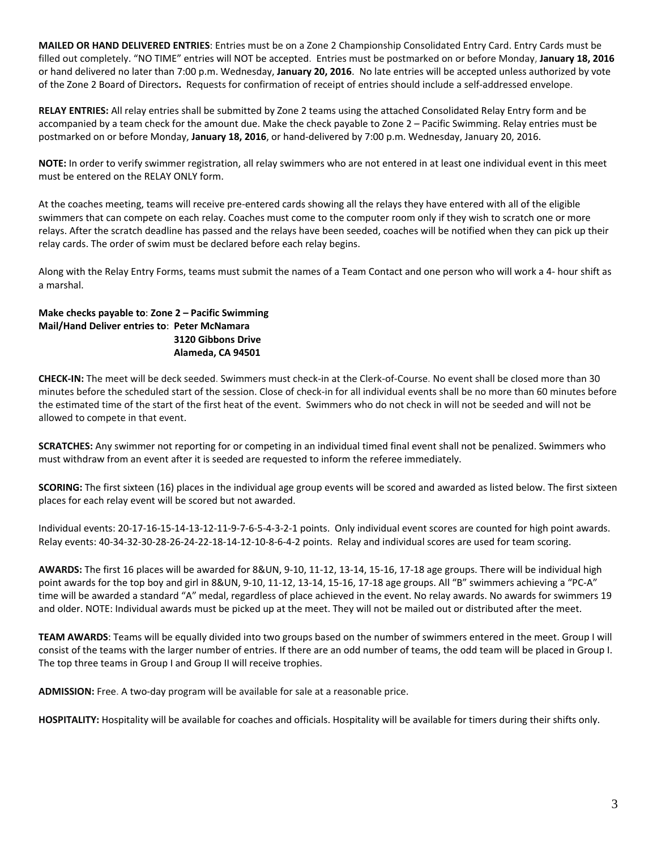**MAILED OR HAND DELIVERED ENTRIES**: Entries must be on a Zone 2 Championship Consolidated Entry Card. Entry Cards must be filled out completely. "NO TIME" entries will NOT be accepted. Entries must be postmarked on or before Monday, **January 18, 2016** or hand delivered no later than 7:00 p.m. Wednesday, **January 20, 2016**. No late entries will be accepted unless authorized by vote of the Zone 2 Board of Directors**.** Requests for confirmation of receipt of entries should include a self-addressed envelope.

**RELAY ENTRIES:** All relay entries shall be submitted by Zone 2 teams using the attached Consolidated Relay Entry form and be accompanied by a team check for the amount due. Make the check payable to Zone 2 – Pacific Swimming. Relay entries must be postmarked on or before Monday, **January 18, 2016**, or hand-delivered by 7:00 p.m. Wednesday, January 20, 2016.

**NOTE:** In order to verify swimmer registration, all relay swimmers who are not entered in at least one individual event in this meet must be entered on the RELAY ONLY form.

At the coaches meeting, teams will receive pre-entered cards showing all the relays they have entered with all of the eligible swimmers that can compete on each relay. Coaches must come to the computer room only if they wish to scratch one or more relays. After the scratch deadline has passed and the relays have been seeded, coaches will be notified when they can pick up their relay cards. The order of swim must be declared before each relay begins.

Along with the Relay Entry Forms, teams must submit the names of a Team Contact and one person who will work a 4- hour shift as a marshal.

## **Make checks payable to**: **Zone 2 – Pacific Swimming Mail/Hand Deliver entries to**: **Peter McNamara 3120 Gibbons Drive Alameda, CA 94501**

**CHECK-IN:** The meet will be deck seeded. Swimmers must check-in at the Clerk-of-Course. No event shall be closed more than 30 minutes before the scheduled start of the session. Close of check-in for all individual events shall be no more than 60 minutes before the estimated time of the start of the first heat of the event. Swimmers who do not check in will not be seeded and will not be allowed to compete in that event.

**SCRATCHES:** Any swimmer not reporting for or competing in an individual timed final event shall not be penalized. Swimmers who must withdraw from an event after it is seeded are requested to inform the referee immediately.

**SCORING:** The first sixteen (16) places in the individual age group events will be scored and awarded as listed below. The first sixteen places for each relay event will be scored but not awarded.

Individual events: 20-17-16-15-14-13-12-11-9-7-6-5-4-3-2-1 points. Only individual event scores are counted for high point awards. Relay events: 40-34-32-30-28-26-24-22-18-14-12-10-8-6-4-2 points. Relay and individual scores are used for team scoring.

**AWARDS:** The first 16 places will be awarded for 8&UN, 9-10, 11-12, 13-14, 15-16, 17-18 age groups. There will be individual high point awards for the top boy and girl in 8&UN, 9-10, 11-12, 13-14, 15-16, 17-18 age groups. All "B" swimmers achieving a "PC-A" time will be awarded a standard "A" medal, regardless of place achieved in the event. No relay awards. No awards for swimmers 19 and older. NOTE: Individual awards must be picked up at the meet. They will not be mailed out or distributed after the meet.

**TEAM AWARDS**: Teams will be equally divided into two groups based on the number of swimmers entered in the meet. Group I will consist of the teams with the larger number of entries. If there are an odd number of teams, the odd team will be placed in Group I. The top three teams in Group I and Group II will receive trophies.

**ADMISSION:** Free. A two-day program will be available for sale at a reasonable price.

**HOSPITALITY:** Hospitality will be available for coaches and officials. Hospitality will be available for timers during their shifts only.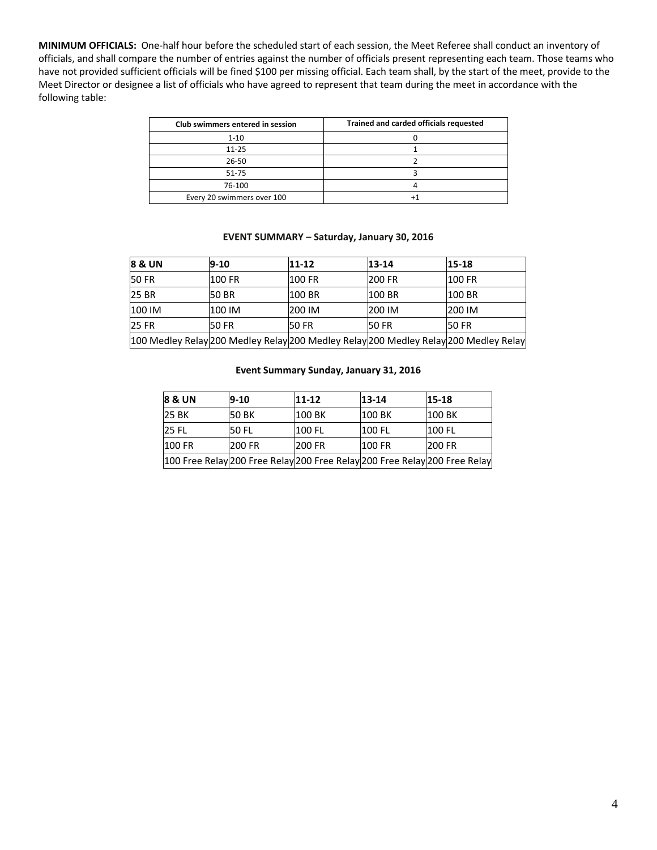**MINIMUM OFFICIALS:** One-half hour before the scheduled start of each session, the Meet Referee shall conduct an inventory of officials, and shall compare the number of entries against the number of officials present representing each team. Those teams who have not provided sufficient officials will be fined \$100 per missing official. Each team shall, by the start of the meet, provide to the Meet Director or designee a list of officials who have agreed to represent that team during the meet in accordance with the following table:

| Club swimmers entered in session | Trained and carded officials requested |
|----------------------------------|----------------------------------------|
| $1 - 10$                         |                                        |
| $11 - 25$                        |                                        |
| 26-50                            |                                        |
| $51 - 75$                        |                                        |
| 76-100                           |                                        |
| Every 20 swimmers over 100       |                                        |

#### **EVENT SUMMARY – Saturday, January 30, 2016**

| 8 & UN       | $9 - 10$     | $11 - 12$    | 13-14         | $15 - 18$                                                                            |
|--------------|--------------|--------------|---------------|--------------------------------------------------------------------------------------|
| <b>50 FR</b> | 100 FR       | 100 FR       | <b>200 FR</b> | 100 FR                                                                               |
| <b>25 BR</b> | 50 BR        | 100 BR       | 100 BR        | 100 BR                                                                               |
| 100 IM       | 100 IM       | 200 IM       | 200 IM        | 200 IM                                                                               |
| <b>25 FR</b> | <b>50 FR</b> | <b>50 FR</b> | <b>50 FR</b>  | 50 FR                                                                                |
|              |              |              |               | 100 Medley Relay 200 Medley Relay 200 Medley Relay 200 Medley Relay 200 Medley Relay |

#### **Event Summary Sunday, January 31, 2016**

| <b>8 &amp; UN</b>                                                          | $9-10$        | $11 - 12$     | $13 - 14$     | $15 - 18$     |
|----------------------------------------------------------------------------|---------------|---------------|---------------|---------------|
| <b>25 BK</b>                                                               | 50 BK         | 100 BK        | <b>100 BK</b> | <b>100 BK</b> |
| <b>25 FL</b>                                                               | <b>50 FL</b>  | 100 FL        | <b>100 FL</b> | <b>100 FL</b> |
| <b>100 FR</b>                                                              | <b>200 FR</b> | <b>200 FR</b> | <b>100 FR</b> | <b>200 FR</b> |
| 100 Free Relay 200 Free Relay 200 Free Relay 200 Free Relay 200 Free Relay |               |               |               |               |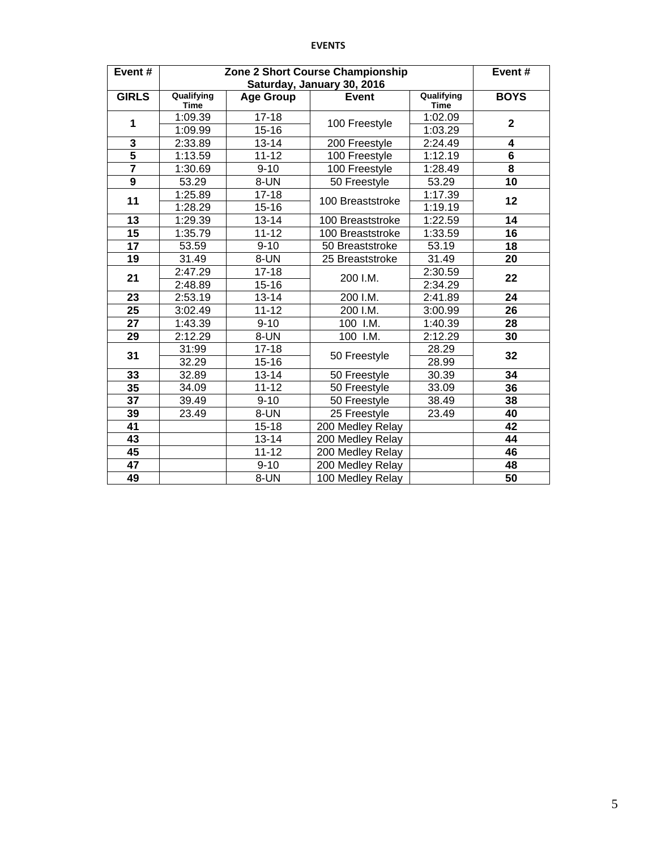## **EVENTS**

| Event#                  | Zone 2 Short Course Championship | Event#                 |                                            |                           |                         |
|-------------------------|----------------------------------|------------------------|--------------------------------------------|---------------------------|-------------------------|
| <b>GIRLS</b>            | Qualifying<br><b>Time</b>        | <b>Age Group</b>       | Saturday, January 30, 2016<br><b>Event</b> | Qualifying<br><b>Time</b> | <b>BOYS</b>             |
| 1                       | 1:09.39<br>1:09.99               | $17 - 18$<br>$15 - 16$ | 100 Freestyle                              | 1:02.09<br>1:03.29        | $\overline{2}$          |
| 3                       | 2:33.89                          | $13 - 14$              | 200 Freestyle                              | 2:24.49                   | 4                       |
| $\overline{5}$          | 1:13.59                          | $11 - 12$              | 100 Freestyle                              | 1:12.19                   | $\overline{\mathbf{6}}$ |
| $\overline{\mathbf{7}}$ | 1:30.69                          | $9 - 10$               | 100 Freestyle                              | 1:28.49                   | $\overline{\mathbf{8}}$ |
| $\overline{9}$          | 53.29                            | 8-UN                   | 50 Freestyle                               | 53.29                     | 10                      |
| 11                      | 1:25.89                          | $17 - 18$              | 100 Breaststroke                           | 1:17.39                   | 12                      |
|                         | 1:28.29                          | $15 - 16$              |                                            | 1:19.19                   |                         |
| 13                      | 1:29.39                          | $13 - 14$              | 100 Breaststroke                           | 1:22.59                   | 14                      |
| 15                      | 1:35.79                          | $11 - 12$              | 100 Breaststroke                           | 1:33.59                   | 16                      |
| 17                      | 53.59                            | $9 - 10$               | 50 Breaststroke                            | 53.19                     | 18                      |
| 19                      | 31.49                            | 8-UN                   | 25 Breaststroke                            | 31.49                     | 20                      |
| 21                      | 2:47.29                          | $17 - 18$              | 200 I.M.                                   | 2:30.59                   | 22                      |
|                         | 2:48.89                          | $15 - 16$              |                                            | 2:34.29                   |                         |
| 23                      | 2:53.19                          | $13 - 14$              | 200 I.M.                                   | 2:41.89                   | 24                      |
| 25                      | 3:02.49                          | $11 - 12$              | 200 I.M.                                   | 3:00.99                   | 26                      |
| 27                      | 1:43.39                          | $9 - 10$               | 100 I.M.                                   | 1:40.39                   | 28                      |
| 29                      | 2:12.29                          | 8-UN                   | 100 I.M.                                   | 2:12.29                   | 30                      |
|                         | 31:99                            | $17 - 18$              |                                            | 28.29                     | 32                      |
| 31                      | 32.29                            | $15 - 16$              | 50 Freestyle                               | 28.99                     |                         |
| 33                      | 32.89                            | $13 - 14$              | 50 Freestyle                               | 30.39                     | 34                      |
| 35                      | 34.09                            | $11 - 12$              | 50 Freestyle                               | 33.09                     | 36                      |
| 37                      | 39.49                            | $9 - 10$               | 50 Freestyle                               | 38.49                     | 38                      |
| 39                      | 23.49                            | 8-UN                   | 25 Freestyle                               | 23.49                     | 40                      |
| 41                      |                                  | $15 - 18$              | 200 Medley Relay                           |                           | 42                      |
| 43                      |                                  | $13 - 14$              | 200 Medley Relay                           |                           | 44                      |
| 45                      |                                  | $11 - 12$              | 200 Medley Relay                           |                           | 46                      |
| 47                      |                                  | $9 - 10$               | 200 Medley Relay                           |                           | 48                      |
| 49                      |                                  | 8-UN                   | 100 Medley Relay                           |                           | 50                      |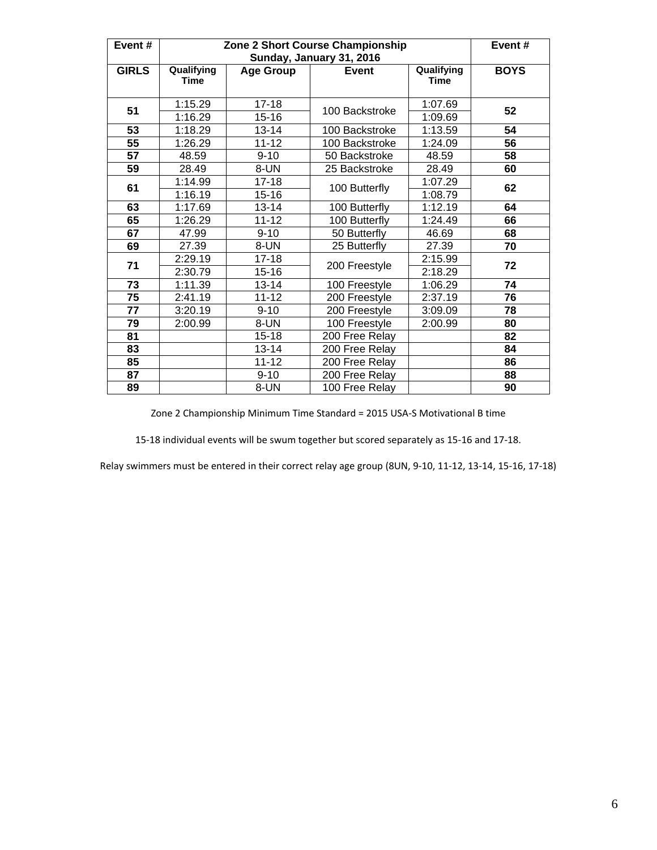| Event#          |                           |                        | Zone 2 Short Course Championship<br>Sunday, January 31, 2016 |                           | Event#      |
|-----------------|---------------------------|------------------------|--------------------------------------------------------------|---------------------------|-------------|
| <b>GIRLS</b>    | Qualifying<br><b>Time</b> | <b>Age Group</b>       | <b>Event</b>                                                 | Qualifying<br><b>Time</b> | <b>BOYS</b> |
| 51              | 1:15.29<br>1:16.29        | $17 - 18$<br>$15 - 16$ | 100 Backstroke                                               | 1:07.69<br>1:09.69        | 52          |
| 53              | 1:18.29                   | $13 - 14$              | 100 Backstroke                                               | 1:13.59                   | 54          |
| $\overline{55}$ | 1:26.29                   | $11 - 12$              | 100 Backstroke                                               | 1:24.09                   | 56          |
| 57              | 48.59                     | $9 - 10$               | 50 Backstroke                                                | 48.59                     | 58          |
| 59              | 28.49                     | 8-UN                   | 25 Backstroke                                                | 28.49                     | 60          |
| 61              | 1:14.99                   | $17 - 18$              | 100 Butterfly                                                | 1:07.29                   | 62          |
|                 | 1:16.19                   | $15 - 16$              |                                                              | 1:08.79                   |             |
| 63              | 1:17.69                   | $13 - 14$              | 100 Butterfly                                                | 1:12.19                   | 64          |
| 65              | 1:26.29                   | $11 - 12$              | 100 Butterfly                                                | 1:24.49                   | 66          |
| 67              | 47.99                     | $9 - 10$               | 50 Butterfly                                                 | 46.69                     | 68          |
| 69              | 27.39                     | 8-UN                   | 25 Butterfly                                                 | 27.39                     | 70          |
| 71              | 2:29.19                   | $17 - 18$              | 200 Freestyle                                                | 2:15.99                   | 72          |
|                 | 2:30.79                   | $15 - 16$              |                                                              | 2:18.29                   |             |
| 73              | 1:11.39                   | $13 - 14$              | 100 Freestyle                                                | 1:06.29                   | 74          |
| 75              | 2:41.19                   | $11 - 12$              | 200 Freestyle                                                | 2:37.19                   | 76          |
| 77              | 3:20.19                   | $9 - 10$               | 200 Freestyle                                                | 3:09.09                   | 78          |
| 79              | 2:00.99                   | 8-UN                   | 100 Freestyle                                                | 2:00.99                   | 80          |
| 81              |                           | $15 - 18$              | 200 Free Relay                                               |                           | 82          |
| 83              |                           | $13 - 14$              | 200 Free Relay                                               |                           | 84          |
| 85              |                           | $11 - 12$              | 200 Free Relay                                               |                           | 86          |
| 87              |                           | $9 - 10$               | 200 Free Relay                                               |                           | 88          |
| 89              |                           | 8-UN                   | 100 Free Relay                                               |                           | 90          |

Zone 2 Championship Minimum Time Standard = 2015 USA-S Motivational B time

15-18 individual events will be swum together but scored separately as 15-16 and 17-18.

Relay swimmers must be entered in their correct relay age group (8UN, 9-10, 11-12, 13-14, 15-16, 17-18)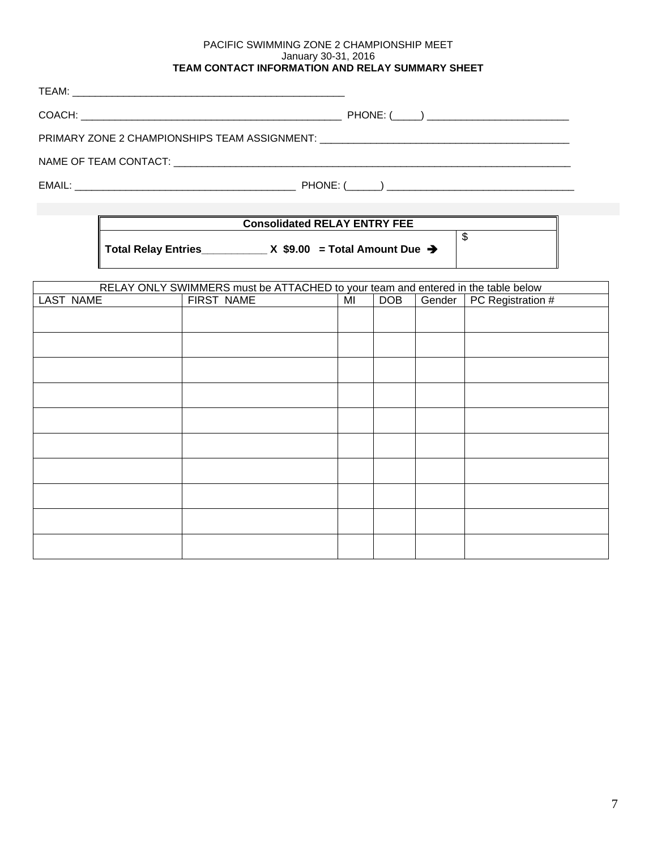### PACIFIC SWIMMING ZONE 2 CHAMPIONSHIP MEET January 30-31, 2016 **TEAM CONTACT INFORMATION AND RELAY SUMMARY SHEET**

| PRIMARY ZONE 2 CHAMPIONSHIPS TEAM ASSIGNMENT: __________________________________ |  |
|----------------------------------------------------------------------------------|--|
|                                                                                  |  |
|                                                                                  |  |

# **Consolidated RELAY ENTRY FEE**

**Total Relay Entries\_\_\_\_\_\_\_\_\_\_\_ X \$9.00 = Total Amount Due** 

\$

|                  | RELAY ONLY SWIMMERS must be ATTACHED to your team and entered in the table below |    |            |        |                   |
|------------------|----------------------------------------------------------------------------------|----|------------|--------|-------------------|
| <b>LAST NAME</b> | FIRST NAME                                                                       | MI | <b>DOB</b> | Gender | PC Registration # |
|                  |                                                                                  |    |            |        |                   |
|                  |                                                                                  |    |            |        |                   |
|                  |                                                                                  |    |            |        |                   |
|                  |                                                                                  |    |            |        |                   |
|                  |                                                                                  |    |            |        |                   |
|                  |                                                                                  |    |            |        |                   |
|                  |                                                                                  |    |            |        |                   |
|                  |                                                                                  |    |            |        |                   |
|                  |                                                                                  |    |            |        |                   |
|                  |                                                                                  |    |            |        |                   |
|                  |                                                                                  |    |            |        |                   |
|                  |                                                                                  |    |            |        |                   |
|                  |                                                                                  |    |            |        |                   |
|                  |                                                                                  |    |            |        |                   |
|                  |                                                                                  |    |            |        |                   |
|                  |                                                                                  |    |            |        |                   |
|                  |                                                                                  |    |            |        |                   |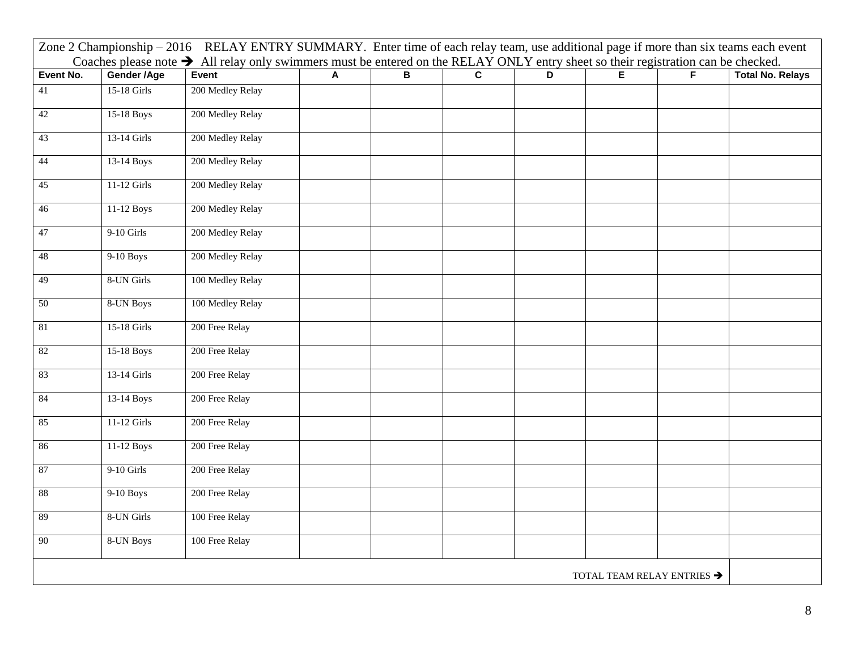|           |              | Zone 2 Championship - 2016 RELAY ENTRY SUMMARY. Enter time of each relay team, use additional page if more than six teams each event                          |   |                         |                         |                |                                        |                         |
|-----------|--------------|---------------------------------------------------------------------------------------------------------------------------------------------------------------|---|-------------------------|-------------------------|----------------|----------------------------------------|-------------------------|
| Event No. | Gender /Age  | Coaches please note $\rightarrow$ All relay only swimmers must be entered on the RELAY ONLY entry sheet so their registration can be checked.<br><b>Event</b> | A | $\overline{\mathbf{B}}$ | $\overline{\mathsf{c}}$ | $\overline{D}$ | F                                      | <b>Total No. Relays</b> |
| 41        | 15-18 Girls  | 200 Medley Relay                                                                                                                                              |   |                         |                         |                |                                        |                         |
| 42        | 15-18 Boys   | 200 Medley Relay                                                                                                                                              |   |                         |                         |                |                                        |                         |
| 43        | 13-14 Girls  | 200 Medley Relay                                                                                                                                              |   |                         |                         |                |                                        |                         |
| 44        | 13-14 Boys   | 200 Medley Relay                                                                                                                                              |   |                         |                         |                |                                        |                         |
| 45        | 11-12 Girls  | 200 Medley Relay                                                                                                                                              |   |                         |                         |                |                                        |                         |
| 46        | 11-12 Boys   | 200 Medley Relay                                                                                                                                              |   |                         |                         |                |                                        |                         |
| 47        | $9-10$ Girls | 200 Medley Relay                                                                                                                                              |   |                         |                         |                |                                        |                         |
| 48        | 9-10 Boys    | 200 Medley Relay                                                                                                                                              |   |                         |                         |                |                                        |                         |
| 49        | 8-UN Girls   | 100 Medley Relay                                                                                                                                              |   |                         |                         |                |                                        |                         |
| 50        | 8-UN Boys    | 100 Medley Relay                                                                                                                                              |   |                         |                         |                |                                        |                         |
| 81        | 15-18 Girls  | 200 Free Relay                                                                                                                                                |   |                         |                         |                |                                        |                         |
| 82        | 15-18 Boys   | 200 Free Relay                                                                                                                                                |   |                         |                         |                |                                        |                         |
| 83        | 13-14 Girls  | 200 Free Relay                                                                                                                                                |   |                         |                         |                |                                        |                         |
| 84        | 13-14 Boys   | 200 Free Relay                                                                                                                                                |   |                         |                         |                |                                        |                         |
| 85        | 11-12 Girls  | 200 Free Relay                                                                                                                                                |   |                         |                         |                |                                        |                         |
| 86        | 11-12 Boys   | 200 Free Relay                                                                                                                                                |   |                         |                         |                |                                        |                         |
| $87\,$    | $9-10$ Girls | 200 Free Relay                                                                                                                                                |   |                         |                         |                |                                        |                         |
| $88\,$    | 9-10 Boys    | 200 Free Relay                                                                                                                                                |   |                         |                         |                |                                        |                         |
| 89        | 8-UN Girls   | 100 Free Relay                                                                                                                                                |   |                         |                         |                |                                        |                         |
| $90\,$    | 8-UN Boys    | 100 Free Relay                                                                                                                                                |   |                         |                         |                |                                        |                         |
|           |              |                                                                                                                                                               |   |                         |                         |                | TOTAL TEAM RELAY ENTRIES $\rightarrow$ |                         |